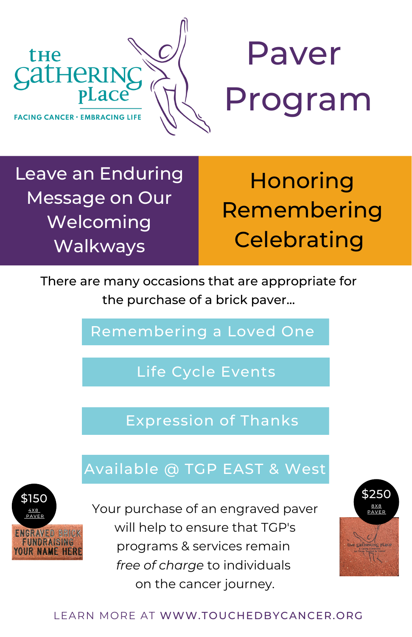



Leave an Enduring Message on Our Welcoming Walkways

**Honoring** Remembering **Celebrating** 

There are many occasions that are appropriate for the purchase of a brick paver...

Remembering a Loved One

Life Cycle Events

Expression of Thanks

## Available @ TGP EAST & West



\$150  $\frac{4\times8}{2\times100}$  Pour purchase of an engraved paver  $\frac{4\times8}{2\times100}$ will help to ensure that TGP's programs & services remain *free of charge* to individuals on the cancer journey.



## LEARN MORE AT WWW.TOUCHEDBYCANCER.ORG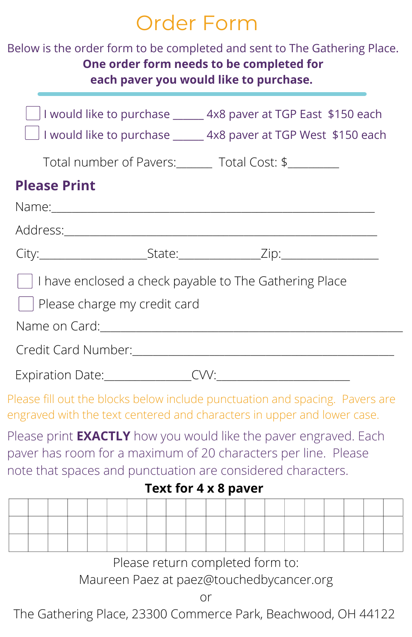## Order Form

| Below is the order form to be completed and sent to The Gathering Place.                                                                                                                                 | One order form needs to be completed for<br>each paver you would like to purchase. |                                                                                                                                                    |                                                         |  |  |  |  |
|----------------------------------------------------------------------------------------------------------------------------------------------------------------------------------------------------------|------------------------------------------------------------------------------------|----------------------------------------------------------------------------------------------------------------------------------------------------|---------------------------------------------------------|--|--|--|--|
|                                                                                                                                                                                                          |                                                                                    | $\Box$ I would like to purchase ______ 4x8 paver at TGP East \$150 each<br>$\Box$ I would like to purchase ______ 4x8 paver at TGP West \$150 each |                                                         |  |  |  |  |
|                                                                                                                                                                                                          |                                                                                    |                                                                                                                                                    | Total number of Pavers: _______ Total Cost: \$_________ |  |  |  |  |
| <b>Please Print</b>                                                                                                                                                                                      |                                                                                    |                                                                                                                                                    |                                                         |  |  |  |  |
|                                                                                                                                                                                                          |                                                                                    |                                                                                                                                                    |                                                         |  |  |  |  |
|                                                                                                                                                                                                          |                                                                                    |                                                                                                                                                    |                                                         |  |  |  |  |
|                                                                                                                                                                                                          |                                                                                    |                                                                                                                                                    |                                                         |  |  |  |  |
| I have enclosed a check payable to The Gathering Place                                                                                                                                                   |                                                                                    |                                                                                                                                                    |                                                         |  |  |  |  |
| Please charge my credit card                                                                                                                                                                             |                                                                                    |                                                                                                                                                    |                                                         |  |  |  |  |
|                                                                                                                                                                                                          |                                                                                    |                                                                                                                                                    |                                                         |  |  |  |  |
| Credit Card Number:<br>Credit Card Number:                                                                                                                                                               |                                                                                    |                                                                                                                                                    |                                                         |  |  |  |  |
| Expiration Date: CW: CW:                                                                                                                                                                                 |                                                                                    |                                                                                                                                                    |                                                         |  |  |  |  |
| Please fill out the blocks below include punctuation and spacing. Pavers are<br>engraved with the text centered and characters in upper and lower case.                                                  |                                                                                    |                                                                                                                                                    |                                                         |  |  |  |  |
| Please print <b>EXACTLY</b> how you would like the paver engraved. Each<br>paver has room for a maximum of 20 characters per line. Please<br>note that spaces and punctuation are considered characters. |                                                                                    |                                                                                                                                                    |                                                         |  |  |  |  |
|                                                                                                                                                                                                          |                                                                                    | Text for 4 x 8 paver                                                                                                                               |                                                         |  |  |  |  |
|                                                                                                                                                                                                          |                                                                                    |                                                                                                                                                    |                                                         |  |  |  |  |
|                                                                                                                                                                                                          |                                                                                    |                                                                                                                                                    |                                                         |  |  |  |  |
|                                                                                                                                                                                                          | Please return completed form to:                                                   |                                                                                                                                                    |                                                         |  |  |  |  |
|                                                                                                                                                                                                          | Maureen Paez at paez@touchedbycancer.org                                           |                                                                                                                                                    |                                                         |  |  |  |  |

or

The Gathering Place, 23300 Commerce Park, Beachwood, OH 44122